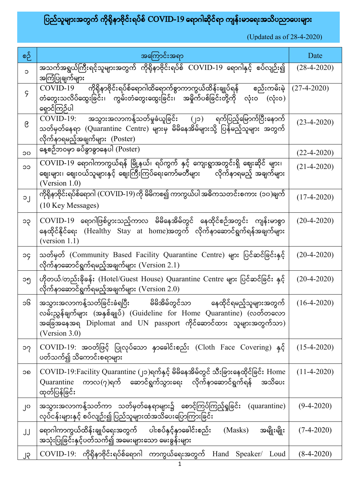## ပြည်သူများအတွက် ကိုရိုနာဗိုင်းရပ်စ်  $\rm COVID$ -19 ရောဂါဆိုင်ရာ ကျန်းမာရေးအသိပညာပေးများ

| စဉ်         | အကြောင်းအရာ                                                                                                                                                                                                                          | Date              |
|-------------|--------------------------------------------------------------------------------------------------------------------------------------------------------------------------------------------------------------------------------------|-------------------|
| $\circ$     | အသက်အရွယ်ကြီးရင့်သူများအတွက် ကိုရိုနာဗိုင်းရပ်စ် COVID-19 ရောဂါနှင့် စပ်လျဉ်း၍<br>အကြံပြုချက်များ                                                                                                                                    | $(28-4-2020)$     |
| $\varsigma$ | $\mathrm{COVID}\text{-}19$ ကိုရိုနာဗိုင်းရပ်စ်ရောဂါထိရောက်စွာကာကွယ်ထိန်းချုပ်ရန် စည်းကမ်းမဲ့<br>တံတွေးသလိပ်ထွေးခြင်း၊ ကွမ်းတံတွေးထွေးခြင်း၊ အမှိုက်ပစ်ခြင်းတို့ကို လုံးဝ (လုံးဝ)<br>ရှောင်ကြဉ်ပါ                                     | $(27-4-2020)$     |
| ၉           | COVID-19: အသွားအလာကန့်သတ်မှုခံယူခြင်း (၂၁)<br>ရက်ပြည့်မြောက်ပြီးနောက်<br>သတ်မှတ်နေရာ (Quarantine Centre) များမှ မိမိနေအိမ်များသို့ ပြန်မည့်သူများ အတွက်<br>လိုက်နာရမည့်အချက်များ (Poster)                                            | $(23-4-2020)$     |
| ၁၀          | နေ့စဉ်ဘဝမှာ ခပ်ခွာခွာနေပါ (Poster)                                                                                                                                                                                                   | $(22 - 4 - 2020)$ |
| CC          | $\overline{\mathrm{COVID\text{-}}19}$ ရောဂါကာကွယ်ရန် မြို့နယ်၊ ရပ်ကွက် နှင့် ကျေးရွာအတွင်းရှိ ဈေးဆိုင် များ၊<br>ဈေးများ၊ ဈေးဝယ်သူများနှင့် ဈေးကြီးကြပ်ရေးကော်မတီများ လိုက်နာရမည့် အချက်များ<br>(Version $1.0$ )                      | $(21 - 4 - 2020)$ |
| $\circ$     | ကိုရိုနာဗိုင်းရပ်စ်ရောဂါ (COVID-19) ကို မိမိကစ၍ ကာကွယ်ပါ အဓိကသတင်းစကား (၁၀)ချက်<br>(10 Key Messages)                                                                                                                                 | $(17-4-2020)$     |
| ၁၃          | COVID-19 ရောဂါဖြစ်ပွားသည့်ကာလ မိမိနေအိမ်တွင် နေထိုင်စဉ်အတွင်း ကျန်းမာစွာ<br>နေထိုင်နိုင်ရေး (Healthy Stay at home)အတွက် လိုက်နာဆောင်ရွက်ရန်အချက်များ<br>(version 1.1)                                                                | $(20-4-2020)$     |
| эç          | သတ်မှတ် (Community Based Facility Quarantine Centre) များ ပြင်ဆင်ခြင်းနှင့်<br>လိုက်နာဆောင်ရွက်ရမည့်အချက်များ (Version 2.1)                                                                                                          | $(20-4-2020)$     |
| ၁၅          | ဟိုတယ်/တည်းခိုခန်း (Hotel/Guest House) Quarantine Centre များ ပြင်ဆင်ခြင်း နှင့်<br>လိုက်နာဆောင်ရွက်ရမည့်အချက်များ (Version 2.0)                                                                                                     | $(20-4-2020)$     |
| ၁၆          | အသွားအလာကန့်သတ်ခြင်းခံရပြီး မိမိအိမ်တွင်သာ<br>နေထိုင်ရမည့်သူများအတွကဲ<br>လမ်းညွှန်ချက်များ (အနှစ်ချုပ်) (Guideline for Home Quarantine) (လတ်တလော<br>အခြေအနေအရ Diplomat and UN passport ကိုင်ဆောင်ထား သူများအတွက်သာ)<br>(Version 3.0) | $(16-4-2020)$     |
| ၁၇          | COVID-19: အဝတ်ဖြင့် ပြုလုပ်သော နာခေါင်းစည်း (Cloth Face Covering) နှင့်<br>ပတ်သက်၍ သိကောင်းစရာများ                                                                                                                                   | $(15-4-2020)$     |
| ၁၈          | COVID-19:Facility Quarantine (၂၁)ရက်နှင့် မိမိနေအိမ်တွင် သီးခြားနေထိုင်ခြင်း Home<br>ကာလ $(\gamma)$ ရက် ဆောင်ရွက်သွားရေး လိုက်နာဆောင်ရွက်ရန်<br>အသိပေး<br>Quarantine<br>ထုတ်ပြန်ခြင်း                                                | $(11-4-2020)$     |
| ၂၀          | အသွားအလာကန့်သတ်ကာ သတ်မှတ်နေရာများ၌ စောင့်ကြပ်ကြည့်ရှုခြင်း<br>(quarantine)<br>လုပ်ငန်းများနှင့် စပ်လျဉ်း၍ ပြည်သူများထံအသိပေးပြောကြားခြင်း                                                                                            | $(9-4-2020)$      |
| JJ          | ရောဂါကာကွယ်ထိန်းချုပ်ရေးအတွက် ပါးစပ်နှင့်နှာခေါင်းစည်း<br>အမျိုးမျိုး<br>(Masks)<br>အသုံးပြုခြင်းနှင့်ပတ်သက်၍ အမေးများသော မေးခွန်းများ                                                                                               | $(7-4-2020)$      |
| ၂၃          | $COVID-19$ : ကိုရိုနာဗိုင်းရပ်စ်ရောဂါ ကာကွယ်ရေးအတွက် Hand Speaker/ Loud                                                                                                                                                              | $(8-4-2020)$      |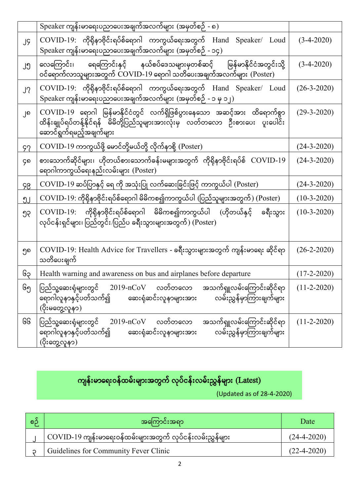|    | Speaker ကျန်းမာရေးပညာပေးအချက်အလက်များ (အမှတ်စဉ် - ၈)                                                                                                                                    |               |
|----|-----------------------------------------------------------------------------------------------------------------------------------------------------------------------------------------|---------------|
| JĢ | $\mathrm{COVID}$ -19: ကိုရိုနာဗိုင်းရပ်စ်ရောဂါ ကာကွယ်ရေးအတွက် Hand Speaker/ $\mathrm{Loud}$<br>Speaker ကျန်းမာရေးပညာပေးအချက်အလက်များ (အမှတ်စဉ် - ၁၄)                                    | $(3-4-2020)$  |
| ၂၅ | လေကြောင်း၊ ရေကြောင်းနှင့် နယ်စပ်ဒေသများမှတစ်ဆင့် မြန်မာနိုင်ငံအတွင်းသို့<br>ဝင်ရောက်လာသူများအတွက် COVID-19 ရောဂါ သတိပေးအချက်အလက်များ (Poster)                                           | $(3-4-2020)$  |
| J? | COVID-19: ကိုရိုနာဗိုင်းရပ်စ်ရောဂါ ကာကွယ်ရေးအတွက် Hand Speaker/ Loud<br>$\text{Speaker}\left(\text{Cyl} \right)$ ေရးပညာပေးအချက်အလက်များ (အမှတ်စဉ် - ၁ မှ ၁၂)                            | $(26-3-2020)$ |
| ၂၈ | COVID-19 ရောဂါ မြန်မာနိုင်ငံတွင် လက်ရှိဖြစ်ပွားနေသော အဆင့်အား ထိရောက်စွာ<br>ထိန်းချုပ်ရပ်တန့်နိုင်ရန် မိမိတို့ပြည်သူများအားလုံးမှ လတ်တလော ဦးစားပေး ပူးပေါင်း<br>ဆောင်ရွက်ရမည့်အချက်များ | $(29-3-2020)$ |
| 97 | COVID-19 ကာကွယ်ဖို့ မောင်တို့မယ်တို့ လိုက်နာစို့ (Poster)                                                                                                                               | $(24-3-2020)$ |
| ၄၈ | စားသောက်ဆိုင်များ၊ ဟိုတယ်စားသောက်ခန်းမများအတွက် ကိုရိုနာဗိုင်းရပ်စ် $\rm\,COVID$ - $19$<br>ရောဂါကာကွယ်ရေးနည်းလမ်းများ (Poster)                                                          | $(24-3-2020)$ |
| ၄၉ | COVID-19 ဆပ်ပြာနှင့် ရေ ကို အသုံးပြု လက်ဆေးခြင်းဖြင့် ကာကွယ်ပါ (Poster)                                                                                                                 | $(24-3-2020)$ |
| ၅၂ | COVID-19: ကိုရိုနာဗိုင်းရပ်စ်ရောဂါ မိမိကစ၍ကာကွယ်ပါ (ပြည်သူများအတွက်) (Poster)                                                                                                           | $(10-3-2020)$ |
| ၅၃ | COVID-19: ကိုရိုနာဗိုင်းရပ်စ်ရောဂါ မိမိကစ၍ကာကွယ်ပါ (ဟိုတယ်နှင့်<br>ခရီးသွား<br>လုပ်ငန်းရှင်များ၊ ပြည်တွင်း/ပြည်ပ ခရီးသွားများအတွက်) (Poster)                                            | $(10-3-2020)$ |
| ၅၈ | COVID-19: Health Advice for Travellers - ခရီးသွားများအတွက် ကျန်းမာရေး ဆိုင်ရာ<br>သတိပေးချက်                                                                                             | $(26-2-2020)$ |
| ၆၃ | Health warning and awareness on bus and airplanes before departure                                                                                                                      | $(17-2-2020)$ |
| ၆၅ | ပြည်သူ့ဆေးရုံများတွင်<br>$2019\nmCoV$ လတ်တလော<br>အသက်ရှူလမ်းကြောင်းဆိုင်ရာ<br>လမ်းညွှန်မှာကြားချက်များ<br>ရောဂါလူနာနှင့်ပတ်သက်၍<br>ဆေးရုံဆင်းလူနာများအား<br>(ပိုးမတွေ့လူနာ)             | $(11-2-2020)$ |
| ၆၆ | $2019 - nCoV$<br>လတ်တလော<br>အသက်ရှူလမ်းကြောင်းဆိုင်ရာ<br>ပြည်သူ့ဆေးရုံများတွင်<br>ရောဂါလူနာနှင့်ပတ်သက်၍<br>လမ်းညွှန်မှာကြားချက်များ<br>ဆေးရုံဆင်းလူနာများအား<br>(ပိုးတွေ့လူနာ)          | $(11-2-2020)$ |

## ကျန်းမာရေးဝန်ထမ်းများအတွက် လုပ်ငန်းလမ်းညွှန်များ (Latest)

| စဉ် | အကြောင်းအရာ                                               | Date              |
|-----|-----------------------------------------------------------|-------------------|
|     | COVID-19 ကျန်းမာရေးဝန်ထမ်းများအတွက် လုပ်ငန်းလမ်းညွှန်များ | $(24-4-2020)$     |
|     | Guidelines for Community Fever Clinic                     | $(22 - 4 - 2020)$ |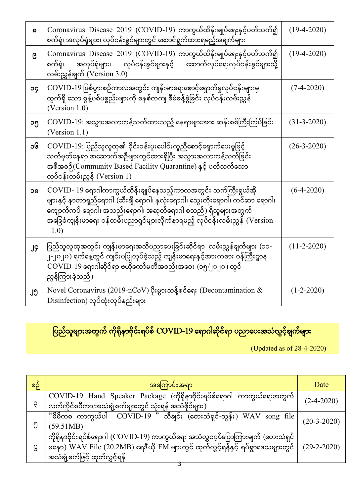| ၈         | Coronavirus Disease 2019 (COVID-19) ကာကွယ်ထိန်းချုပ်ရေးနှင့်ပတ်သက်၍<br>စက်ရုံ၊ အလုပ်ရုံများ၊ လုပ်ငန်းခွင်များတွင် ဆောင်ရွက်ထားရမည့်အချက်များ                                                                                                                                                             | $(19-4-2020)$ |
|-----------|----------------------------------------------------------------------------------------------------------------------------------------------------------------------------------------------------------------------------------------------------------------------------------------------------------|---------------|
| ၉         | Coronavirus Disease 2019 (COVID-19) ကာကွယ်ထိန်းချုပ်ရေးနှင့်ပတ်သက်၍<br>လုပ်ငန်းခွင်များနှင့် ဆောက်လုပ်ရေးလုပ်ငန်းခွင်များသို့<br>အလုပ်ရုံများ၊<br>စက်ရုံ၊<br>လမ်းညွှန်ချက် (Version 3.0)                                                                                                                 | $(19-4-2020)$ |
| <b>OC</b> | COVID-19 ဖြစ်ပွားစဉ်ကာလအတွင်း ကျန်းမာရေးစောင့်ရှောက်မှုလုပ်ငန်းများမှ<br>ထွက်ရှိ သော စွန့်ပစ်ပစ္စည်းများကို စနစ်တကျ စီမံခန့်ခွဲခြင်း လုပ်ငန်းလမ်းညွှန်<br>(Version $1.0$ )                                                                                                                               | $(7-4-2020)$  |
| ၁၅        | COVID-19: အသွားအလာကန့်သတ်ထားသည့် နေရာများအား ဆန်းစစ်ကြီးကြပ်ခြင်း<br>(Version $1.1$ )                                                                                                                                                                                                                    | $(31-3-2020)$ |
| ၁၆        | COVID-19: ပြည်သူလူထု၏ ဝိုင်းဝန်းပူးပေါင်းကူညီစောင့်ရှောက်ပေးမှုဖြင့်<br>သတ်မှတ်နေရာ အဆောက်အဦများတွင်ထားရှိပြီး အသွားအလာကန့်သတ်ခြင်း<br>အစီအစဉ်(Community Based Facility Quarantine) နှင့် ပတ်သက်သော<br>လုပ်ငန်းလမ်းညွှန် (Version $1$ )                                                                  | $(26-3-2020)$ |
| ၁၈        | COVID- 19 ရောဂါကာကွယ်ထိန်းချုပ်နေသည့်ကာလအတွင်း သက်ကြီးရွယ်အို<br>များနှင့် နာတာရှည်ရောဂါ (ဆီးချိုရောဂါ၊ နှလုံးရောဂါ၊ သွေးတိုးရောဂါ၊ ကင်ဆာ ရောဂါ၊<br>ကျောက်ကပ် ရောဂါ၊ အသည်းရောဂါ၊ အဆုတ်ရောဂါ စသည်) ရှိသူများအတွက်<br>အခြေခံကျန်းမာရေး ဝန်ထမ်းပညာရှင်များလိုက်နာရမည့် လုပ်ငန်းလမ်းညွှန် (Version -<br>1.0) | $(6-4-2020)$  |
| JÇ        | ပြည်သူလူထုအတွင်း ကျန်းမာရေးအသိပညာပေးခြင်းဆိုင်ရာ လမ်းညွှန်ချက်များ (၁၁-<br>၂-၂၀၂၀) ရက်နေ့တွင် ကျင်းပပြုလုပ်ခဲ့သည့် ကျန်းမာရေးနှင့်အားကစား ဝန်ကြီးဌာန<br>$\overline{\text{COVID-19}}$ ရောဂါဆိုင်ရာ ဗဟိုကော်မတီအစည်းအဝေး (၁၅/၂၀၂၀) တွင်<br>ညွန်ကြားခဲ့သည်)                                                 | $(11-2-2020)$ |
| ၂၅        | Novel Coronavirus (2019-nCoV) ပိုးမွှားသန့်စင်ရေး (Decontamination &<br>Disinfection) လုပ်ထုံးလုပ်နည်းများ                                                                                                                                                                                               | $(1-2-2020)$  |

ပြည်သူများအတွက် ကိုရိုနာဗိုင်းရပ်စ် COVID-19 ရောဂါဆိုင်ရာ ပညာပေးအသံလွှင့်ချက်များ

| စဉ် | အကြောင်းအရာ                                                                                                                                                                                                  | Date          |
|-----|--------------------------------------------------------------------------------------------------------------------------------------------------------------------------------------------------------------|---------------|
|     | $COVID-19$ Hand Speaker Package (ကိုရိုနာဗိုင်းရပ်စ်ရောဂါ ကာကွယ်ရေးအတွက်<br>လက်ကိုင်စပီကာ/အသံချဲ့စက်များတွင် သုံးရန် အသံဖိုင်များ)                                                                           | $(2-4-2020)$  |
|     | ်မိမိကစ ကာကွယ်ပါ $\overline{\mathrm{COVID-19}}$ " သီချင်း (တေးသံရှင်-သွန်း) WAV song file<br>(59.51MB)                                                                                                       | $(20-3-2020)$ |
| િ   | ကိုရိုနာဗိုင်းရပ်စ်ရောဂါ (COVID-19) ကာကွယ်ရေး အသံလွှင <b>့</b> ်ပြောကြားချက် (တေးသံရှင်<br>မနော) WAV File (20.2MB) ရေဒီယို FM များတွင် ထုတ်လွှင့်ရန်နှင့် ရပ်ရွာဒေသများတွင်<br>အသံချဲ့စက်ဖြင့် ထုတ်လွှင့်ရန် | $(29-2-2020)$ |